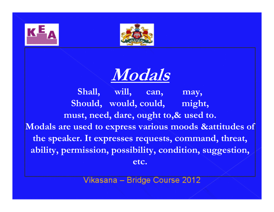





Shall, will, can, may, Should, would, could, might, must, need, dare, ought to,& used to.Modals are used to express various moods &attitudes of the speaker. It expresses requests, command, threat, ability, permission, possibility, condition, suggestion, etc.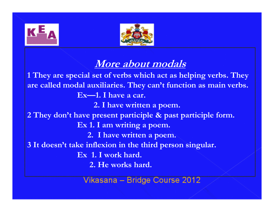



### More about modals

 1 They are special set of verbs which act as helping verbs. They are called modal auxiliaries. They can't function as main verbs. Ex—1. I have a car. 2. I have written a poem. 2 They don't have present participle & past participle form.Ex 1. I am writing a poem. 2. I have written a poem.3 It doesn't take inflexion in the third person singular.Ex 1. I work hard. 2. He works hard.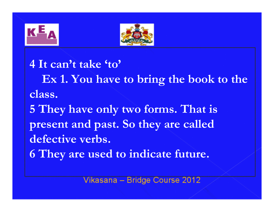



4 It can't take 'to'Ex 1. You have to bring the book to the class.5 They have only two forms. That is present and past. So they are called defective verbs. 6 They are used to indicate future.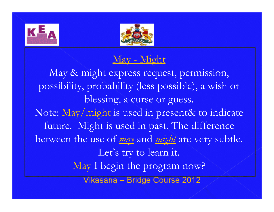



### May - Might

May & might express request, permission, possibility, probability (less possible), a wish orblessing, a curse or guess. Note: May/might is used in present& to indicate future. Might is used in past. The difference between the use of <u>may</u> and <u>might</u> are very subtle. Let's try to learn it. May I begin the program now? Vikasana - Bridge Course 2012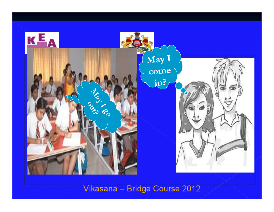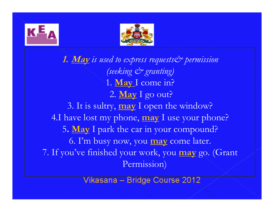



1. May is used to express requests & permission (seeking & granting) 1. May I come in? 2. <mark>May</mark> I go out? 3. It is sultry, may I open the window? 4.I have lost my phone, may I use your phone? 5. May I park the car in your compound? 6. I'm busy now, you <u>may</u> come later. 7. If you've finished your work, you may go. (Grant Permission)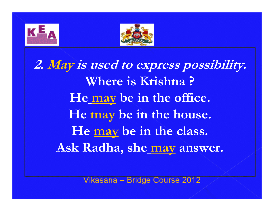



2. May is used to express possibility. Where is Krishna ?He <u>may</u> be in the office. He <u>may</u> be in the house. He <u>may</u> be in the class. Ask Radha, shee<u> may</u> answer.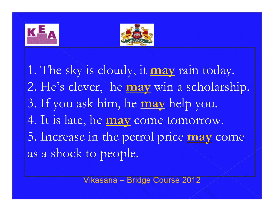



1. The sky is cloudy, it may rain today. 2. He's clever, he may win a scholarship. 3. If you ask him, he may help you. 4. It is late, he may come tomorrow. 5. Increase in the petrol price may y come as a shock to people.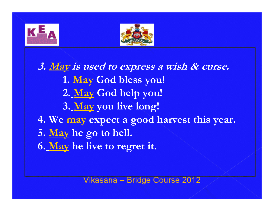



3. May is used to express a wish & curse. 1. <u>May</u> God bless you! 2. <u>May</u> God help you! 3. <u>May</u> you live long! 4. We <u>may</u> expect a good harvest this year. 5. <u>May</u> he go to hell. 6. <u>May</u> he live to regret it.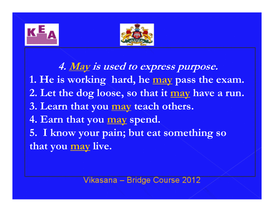



4. <u>May</u> is used to express purpose. 1. He is working hard, he <u>may</u> pass the exam. 2. Let the dog loose, so that it <u>may</u> have a <mark>run.</mark> 3. Learn that you <u>may</u> teach others. 4. Earn that you <u>may</u> spend. 5. I know your pain; but eat something so that you <u>may</u> live.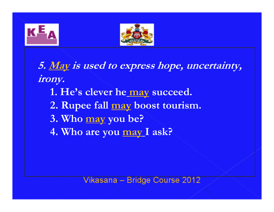



5. May is used to express hope, uncertainty, irony.1. He's clever he<u> may</u> succeed. 2. Rupee fall <u>may</u> boost tourism. 3. Who <u>may</u> you be? 4. Who are you <u>may </u>I ask?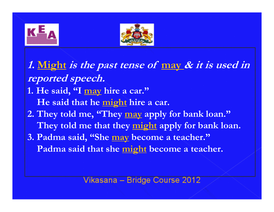



1. <u>Might</u> is the past tense of <u>may</u> & it is used in reported speech. 1. He said, "I <u>may</u> hire a car." He said that he <u>might</u> hire a car. 2. They told me, "They <u>may</u> apply for bank loan." They told me that they <u>might</u> apply for bank loan. 3. Padma said, "She may become a teacher." Padma said that she might become a teacher.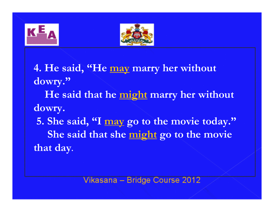



4. He said, "He <u>may</u> marry her without dowry." He said that he might marry her without dowry.

5. She said, "I <u>may</u> go to the movie today." She said that she might go to the movie that day.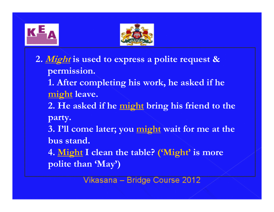



2*. <u>Might</u>* is used to express a polite request & permission.1. After completing his work, he asked if he <u>might</u> leave. 2. He asked if he <u>might</u> bring his friend to the party.3. I'll come later; you <u>might</u> wait for me at the bus stand.4. <u>Might</u> I clean the table? ('Might' is more polite than 'May')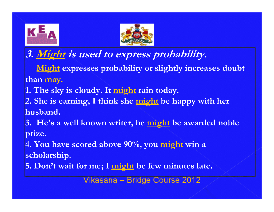



3. <u>Might</u> is used to express probability.

Might expresses probability or slightly increases doubt than may.

1. The sky is cloudy. It <u>might</u> rain today.

2. She is earning, I think she <u>might</u> be happy with her husband.

3. He's a well known writer, he <u>might</u> be awarded noble prize.

4. You have scored above 90%, you<u> might</u> win a scholarship.

5. Don't wait for me; I <u>might</u> be few minutes late.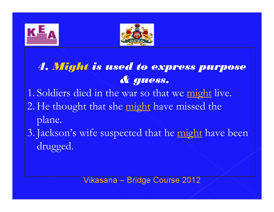



### 4. Might is used to express purpose & guess.

1. Soldiers died in the war so that we might live. 2. He thought that she might have missed the plane.

3. Jackson's wife suspected that he might have been drugged.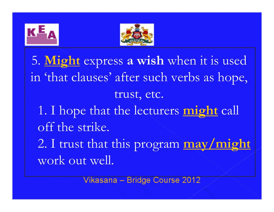



5. Might express a wish when it is used in 'that clauses' after such verbs as hope, trust, etc.1. I hope that the lecturers might call off the strike.2. I trust that this program may/might work out well.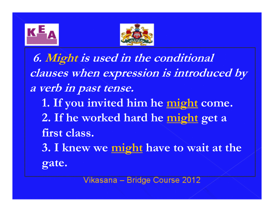



6. Might is used in the conditional clauses when expression is introduced by a verb in past tense. 1. If you invited him he <u>might</u> come. 2. If he worked hard he <u>might</u> get a first class.3. I knew we <u>might</u> have to wait at the gate.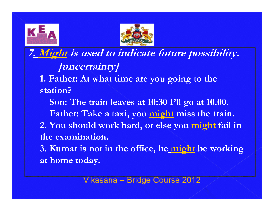



7. Might is used to indicate future possibility. [uncertainty] 1. Father: At what time are you going to the station?Son: The train leaves at 10:30 I'll go at 10.00.Father: Take a taxi, you <u>might</u> miss the train. 2. You should work hard, or else you<u> might</u> fail in the examination.3. Kumar is not in the office, he <u>might</u> be working

at home today.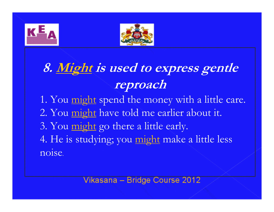



## 8. Might is used to express gentle reproach

- 1. You <u>might</u> spend the money with a little care. 2. You <u>might</u> have told me earlier about it.
- 3. You <u>might</u> go there a little early.

4. He is studying; you <u>might</u> make a little less noise.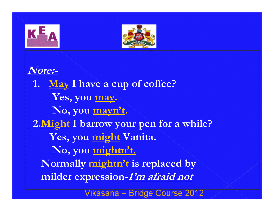



Note:-1. <u>May</u> I have a cup of coffee? Yes, you may. No, you mayn't.2.<u>Might</u> I barrow your pen for a while? Yes, you <u>might</u> Vanita. No, you mightn't.Normally <u>mightn't</u> is replaced by milder expression-I'm afraid not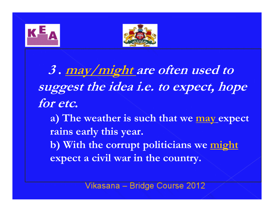



<sup>3</sup>. may/might are often used to suggest the idea i.e. to expect, hope for etc.a) The weather is such that we <u>may</u> expect rains early this year. b) With the corrupt politicians we might expect a civil war in the country.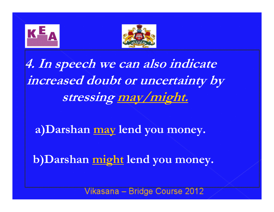



4. In speech we can also indicate increased doubt or uncertainty by stressing may/might.

a)Darshan <u>may</u> lend you money.

b)Darshan <u>might</u> lend you money.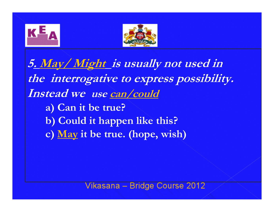



5. May/ Might is usually not used in the interrogative to express possibility. Instead we use can/coulda) Can it be true?b) Could it happen like this?c) <u>May</u> it be true. (hope, wish)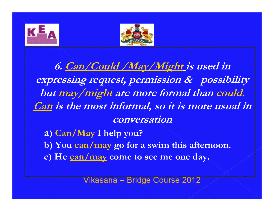



6. Can/Could /May/Might is used in expressing request, permission & possibility but may/might are more formal than could. Can is the most informal, so it is more usual in conversationa) <u>Can/May</u> I help you?

b) You <u>can/may</u> go for a swim this afternoon.

c) He <u>can/may</u> come to see me one day.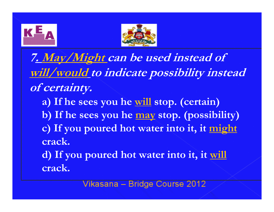



7. May/Might can be used instead of will/would to indicate possibility instead of certainty.a) If he sees you he <u>will</u> stop. (certain) b) If he sees you he <u>may</u> stop. (possibility) c) If you poured hot water into it, it might crack.d) If you poured hot water into it, it will

crack.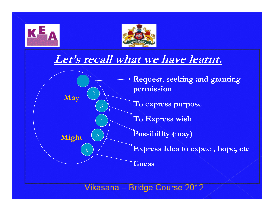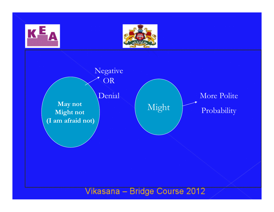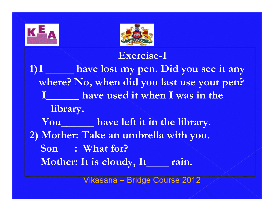



### Exercise-1

1)I \_\_\_\_\_ have lost my pen. Did you see it any where? No, when did you last use your pen?  $\bf I$  have used it when I was in the library. You\_\_\_\_\_\_\_\_ have left it in the library. 2) Mother: Take an umbrella with you.Son : What for? Mother: It is cloudy, It\_\_\_\_ rain.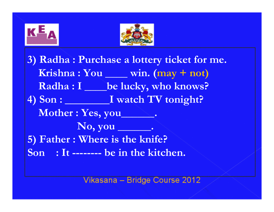



3) Radha : Purchase a lottery ticket for me. Krishna : You \_\_\_\_ win. (may + not) Radha : I \_\_\_\_ be lucky, who knows? 4) Son : I watch TV tonight? Mother : Yes, you No, you \_\_\_\_\_\_. 5) Father : Where is the knife?Son : It -------- be in the kitchen.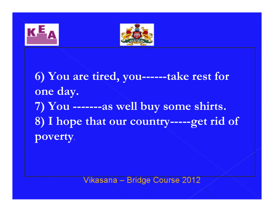



6) You are tired, you------take rest for one day.7) You -------as well buy some shirts.8) I hope that our country-----get rid of poverty.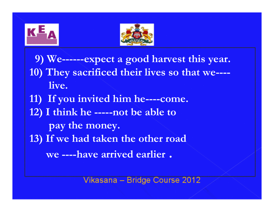



- 9) We------expect a good harvest this year.10) They sacrificed their lives so that we---live.
- 11) If you invited him he----come.
- 12) I think he -----not be able to
	- pay the money.
- 13) If we had taken the other road
	- we ----have arrived earlier.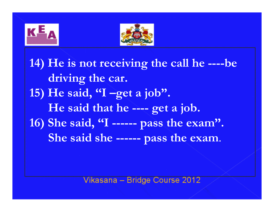



14) He is not receiving the call he ----bedriving the car.15) He said,  $\mathbf{I}$  –get a job". He said that he ---- get a job. 16) She said, ''I ------ pass the exam''. She said she ------ pass the exam.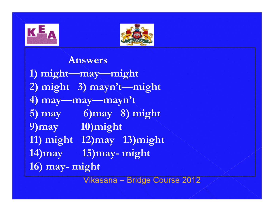



### Answers

1) might—may—might 2) might 3) mayn't—might4) may—may—mayn't 5) may 6)may 8) might 9)may 10)might 11) might 12)may 13)might 14)may 15)may- might 16) may- might<br>Vikasana – Bridge Course 2012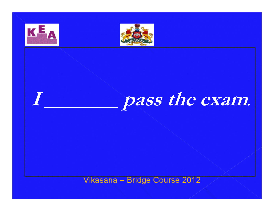

 $\boldsymbol{I}$  , we have the set of  $\boldsymbol{I}$ 



# pass the exam.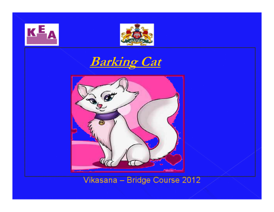